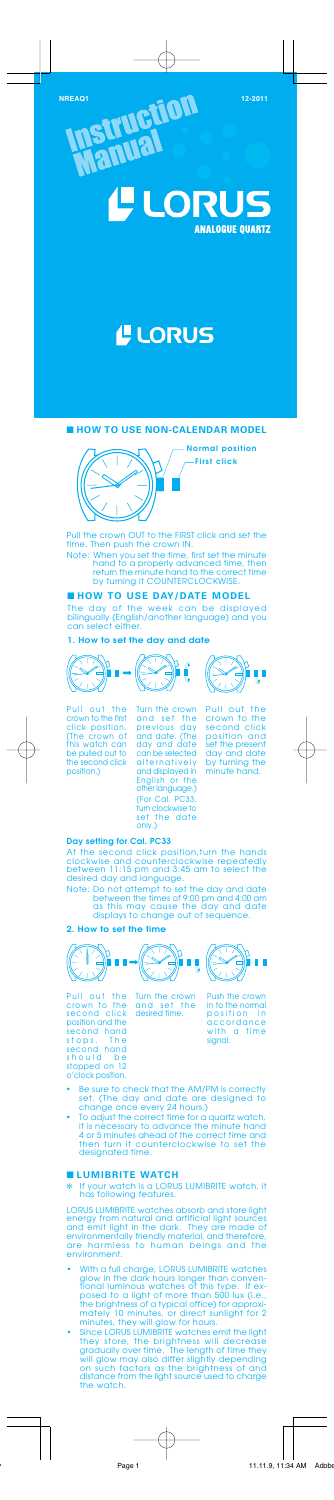**NREAQ1 12-2011 12-2011** 

**ISTTUPE** 



# **L** LORUS

#### ■ **HOW TO USE NON-CALENDAR MODEL**



# ■ **HOW TO USE DAY/DATE MODEL**

The day of the week can be displayed bilingually (English/another language) and you can select either.

**SFI** 

**1. How to set the day and date**



#### **Day setting for Cal. PC33**

At the second click position,turn the hands clockwise and counterclockwise repeatedly between 11:15 pm and 3:45 am to select the desired day and language.

Note: Do not attempt to set the day and date between the times of 9:00 pm and 4:00 am as this may cause the day and date displays to change out of sequence.

# **2. How to set the time**



# ■ **LUMIBRITE WATCH**

✼ If your watch is a LORUS LUMIBRITE watch, it has following features.

- With a full charge, LORUS LUMIBRITE watches<br>glow in the dark hours longer than conven-<br>tional luminous watches of this type. If ex-<br>posed to a light of more than 500 lux (i.e.,<br>the brightness of a typical office) for app
- Since LORUS LUMIBRITE watches emit the light<br>they store, the brightness will decrease<br>gradually over time. The length of time they<br>will glow may also differ slightly depending<br>on such factors as the brightness of and<br>dis the watch.

LORUS LUMIBRITE watches absorb and store light energy from natural and artificial light sources and emit light in the dark. They are made of environmentally friendly material, and therefore, are harmless to human beings and the environment.

Pull out the<br>crown to the crown to the second click position and set the present day and date by turning the minute hand.

- Be sure to check that the AM/PM is correctly set. (The day and date are designed to change once every 24 hours.)
- To adjust the correct time for a quartz watch, it is necessary to advance the minute hand 4 or 5 minutes ahead of the correct time and then turn it counterclockwise to set the designated time.

Pull the crown OUT to the FIRST click and set the time. Then push the crown IN.

Note: When you set the time, first set the minute hand to a properly advanced time, then return the minute hand to the correct time by turning it COUNTERCLOCKWISE.

**Normal position First click**



position.)

Turn the crown and set the previous day and date. (The day and date can be selected alternatively and displayed in English or the other language.) (For Cal. PC33, turn clockwise to set the date only.)



Pull out the crown to the second click position and the second hand stops. The second hand<br>stops. The<br>second hand should be stopped on 12 o'clock position. Turn the crown and set the desired time.



Push the crown in to the normal position in accordance with a time signal.<br>signal.